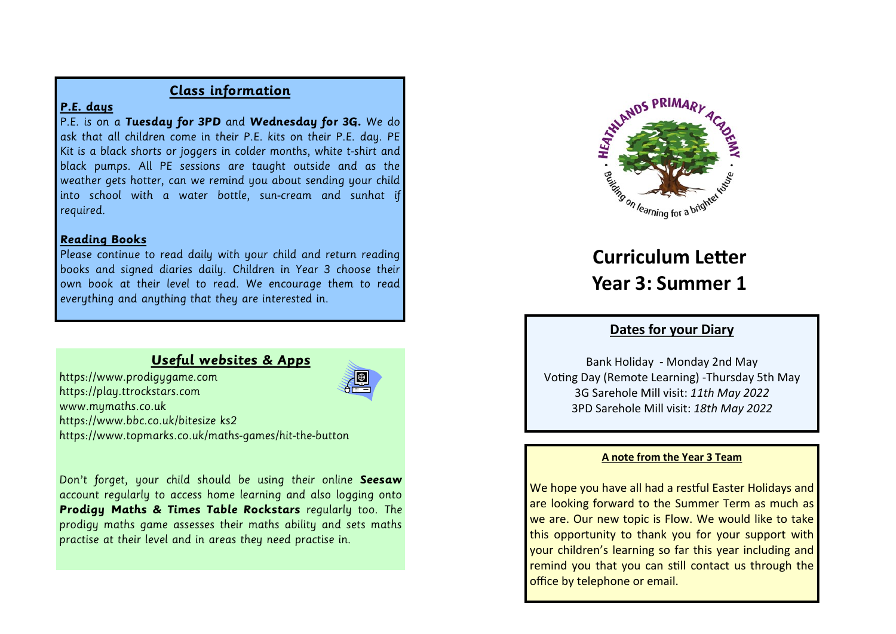# **Class information**

# **P.E. days**

P.E. is on a **Tuesday for 3PD** and **Wednesday for 3G.** We do ask that all children come in their P.E. kits on their P.E. day. PE Kit is a black shorts or joggers in colder months, white t-shirt and black pumps. All PE sessions are taught outside and as the weather gets hotter, can we remind you about sending your child into school with a water bottle, sun-cream and sunhat if required.

# **Reading Books**

Please continue to read daily with your child and return reading books and signed diaries daily. Children in Year 3 choose their own book at their level to read. We encourage them to read everything and anything that they are interested in.

# **Useful websites & Apps**

https://www.prodigygame.com https://play.ttrockstars.com www.mymaths.co.uk https://www.bbc.co.uk/bitesize ks2 https://www.topmarks.co.uk/maths-games/hit-the-button



Don't forget, your child should be using their online **Seesaw** account regularly to access home learning and also logging onto **Prodigy Maths & Times Table Rockstars** regularly too. The prodigy maths game assesses their maths ability and sets maths practise at their level and in areas they need practise in.



# **Curriculum Letter Year 3: Summer 1**

# **Dates for your Diary**

Bank Holiday - Monday 2nd May Voting Day (Remote Learning) -Thursday 5th May 3G Sarehole Mill visit: *11th May 2022* 3PD Sarehole Mill visit: *18th May 2022*

## **A note from the Year 3 Team**

We hope you have all had a restful Easter Holidays and are looking forward to the Summer Term as much as we are. Our new topic is Flow. We would like to take this opportunity to thank you for your support with your children's learning so far this year including and remind you that you can still contact us through the office by telephone or email.